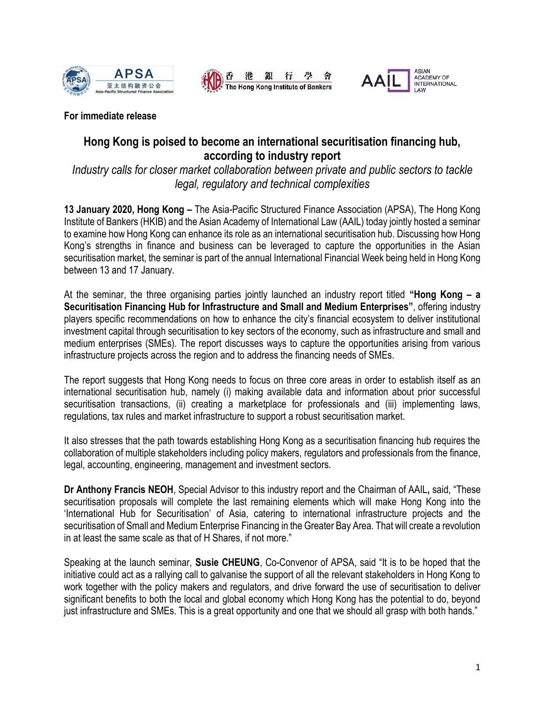





**For immediate release**

# **Hong Kong is poised to become an international securitisation financing hub, according to industry report**

*Industry calls for closer market collaboration between private and public sectors to tackle legal, regulatory and technical complexities*

**13 January 2020, Hong Kong –** The Asia-Pacific Structured Finance Association (APSA), The Hong Kong Institute of Bankers (HKIB) and the Asian Academy of International Law (AAIL) today jointly hosted a seminar to examine how Hong Kong can enhance its role as an international securitisation hub. Discussing how Hong Kong's strengths in finance and business can be leveraged to capture the opportunities in the Asian securitisation market, the seminar is part of the annual International Financial Week being held in Hong Kong between 13 and 17 January.

At the seminar, the three organising parties jointly launched an industry report titled **"Hong Kong – a Securitisation Financing Hub for Infrastructure and Small and Medium Enterprises"**, offering industry players specific recommendations on how to enhance the city's financial ecosystem to deliver institutional investment capital through securitisation to key sectors of the economy, such as infrastructure and small and medium enterprises (SMEs). The report discusses ways to capture the opportunities arising from various infrastructure projects across the region and to address the financing needs of SMEs.

The report suggests that Hong Kong needs to focus on three core areas in order to establish itself as an international securitisation hub, namely (i) making available data and information about prior successful securitisation transactions, (ii) creating a marketplace for professionals and (iii) implementing laws, regulations, tax rules and market infrastructure to support a robust securitisation market.

It also stresses that the path towards establishing Hong Kong as a securitisation financing hub requires the collaboration of multiple stakeholders including policy makers, regulators and professionals from the finance, legal, accounting, engineering, management and investment sectors.

**Dr Anthony Francis NEOH**, Special Advisor to this industry report and the Chairman of AAIL**,** said, "These securitisation proposals will complete the last remaining elements which will make Hong Kong into the 'International Hub for Securitisation' of Asia, catering to international infrastructure projects and the securitisation of Small and Medium Enterprise Financing in the Greater Bay Area. That will create a revolution in at least the same scale as that of H Shares, if not more."

Speaking at the launch seminar, **Susie CHEUNG**, Co-Convenor of APSA, said "It is to be hoped that the initiative could act as a rallying call to galvanise the support of all the relevant stakeholders in Hong Kong to work together with the policy makers and regulators, and drive forward the use of securitisation to deliver significant benefits to both the local and global economy which Hong Kong has the potential to do, beyond just infrastructure and SMEs. This is a great opportunity and one that we should all grasp with both hands."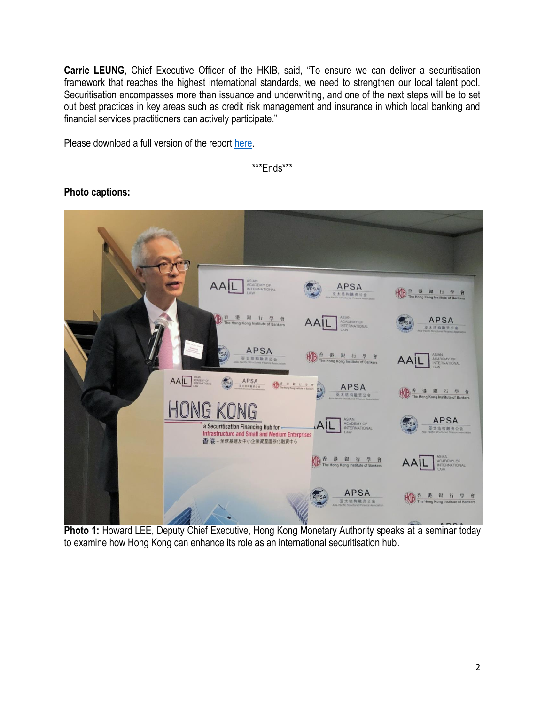**Carrie LEUNG**, Chief Executive Officer of the HKIB, said, "To ensure we can deliver a securitisation framework that reaches the highest international standards, we need to strengthen our local talent pool. Securitisation encompasses more than issuance and underwriting, and one of the next steps will be to set out best practices in key areas such as credit risk management and insurance in which local banking and financial services practitioners can actively participate."

Please download a full version of the report [here.](http://www.apsa-asia.com/files/pdf/publications/The_Report_English.pdf)

\*\*\*Ends\*\*\*



## **Photo captions:**

Photo 1: Howard LEE, Deputy Chief Executive, Hong Kong Monetary Authority speaks at a seminar today to examine how Hong Kong can enhance its role as an international securitisation hub.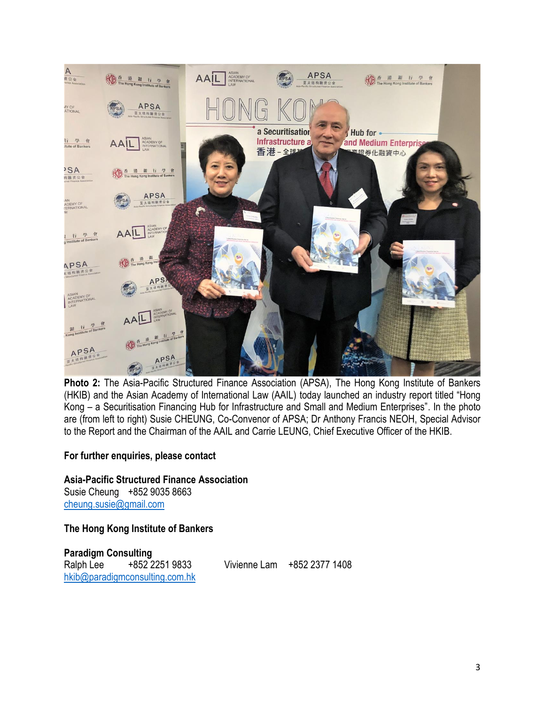

Photo 2: The Asia-Pacific Structured Finance Association (APSA), The Hong Kong Institute of Bankers (HKIB) and the Asian Academy of International Law (AAIL) today launched an industry report titled "Hong Kong – a Securitisation Financing Hub for Infrastructure and Small and Medium Enterprises". In the photo are (from left to right) Susie CHEUNG, Co-Convenor of APSA; Dr Anthony Francis NEOH, Special Advisor to the Report and the Chairman of the AAIL and Carrie LEUNG, Chief Executive Officer of the HKIB.

## **For further enquiries, please contact**

**Asia-Pacific Structured Finance Association** Susie Cheung +852 9035 8663 [cheung.susie@gmail.com](mailto:cheung.susie@gmail.com)

**The Hong Kong Institute of Bankers**

**Paradigm Consulting** Ralph Lee +852 2251 9833 Vivienne Lam +852 2377 1408 [hkib@paradigmconsulting.com.hk](mailto:hkib@paradigmconsulting.com.hk)